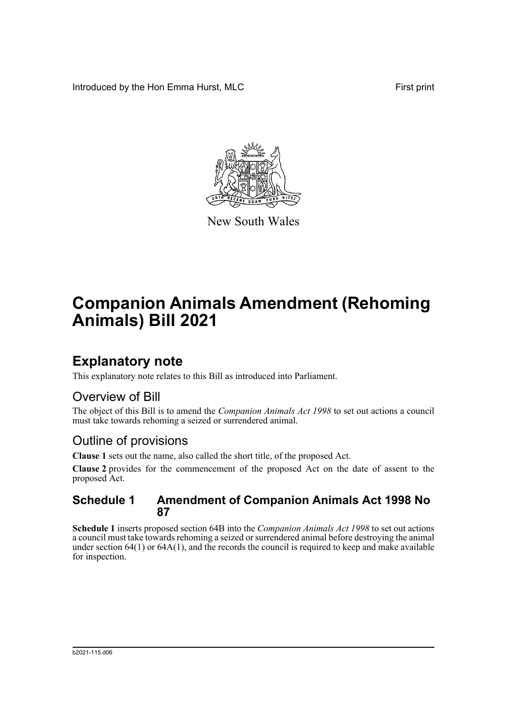Introduced by the Hon Emma Hurst, MLC First print



New South Wales

# **Companion Animals Amendment (Rehoming Animals) Bill 2021**

## **Explanatory note**

This explanatory note relates to this Bill as introduced into Parliament.

## Overview of Bill

The object of this Bill is to amend the *Companion Animals Act 1998* to set out actions a council must take towards rehoming a seized or surrendered animal.

## Outline of provisions

**Clause 1** sets out the name, also called the short title, of the proposed Act.

**Clause 2** provides for the commencement of the proposed Act on the date of assent to the proposed Act.

### **Schedule 1 Amendment of Companion Animals Act 1998 No 87**

**Schedule 1** inserts proposed section 64B into the *Companion Animals Act 1998* to set out actions a council must take towards rehoming a seized or surrendered animal before destroying the animal under section 64(1) or 64A(1), and the records the council is required to keep and make available for inspection.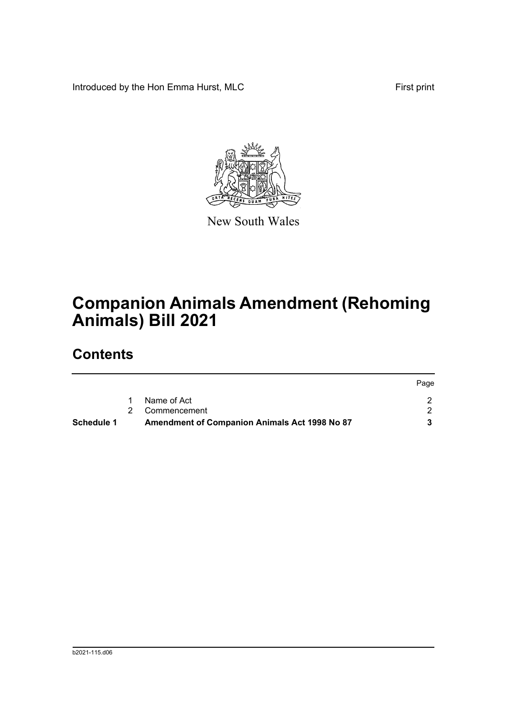Introduced by the Hon Emma Hurst, MLC First print



New South Wales

# **Companion Animals Amendment (Rehoming Animals) Bill 2021**

## **Contents**

| Schedule 1 | <b>Amendment of Companion Animals Act 1998 No 87</b> |      |
|------------|------------------------------------------------------|------|
|            | 2 Commencement                                       |      |
|            | Name of Act                                          |      |
|            |                                                      | Page |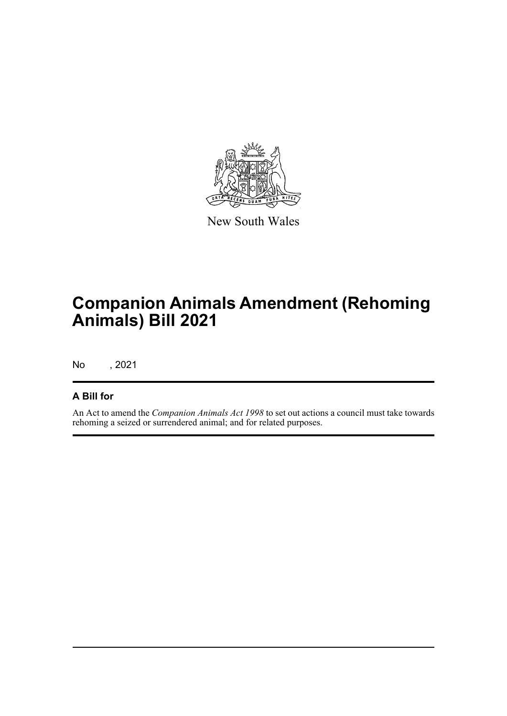

New South Wales

# **Companion Animals Amendment (Rehoming Animals) Bill 2021**

No , 2021

### **A Bill for**

An Act to amend the *Companion Animals Act 1998* to set out actions a council must take towards rehoming a seized or surrendered animal; and for related purposes.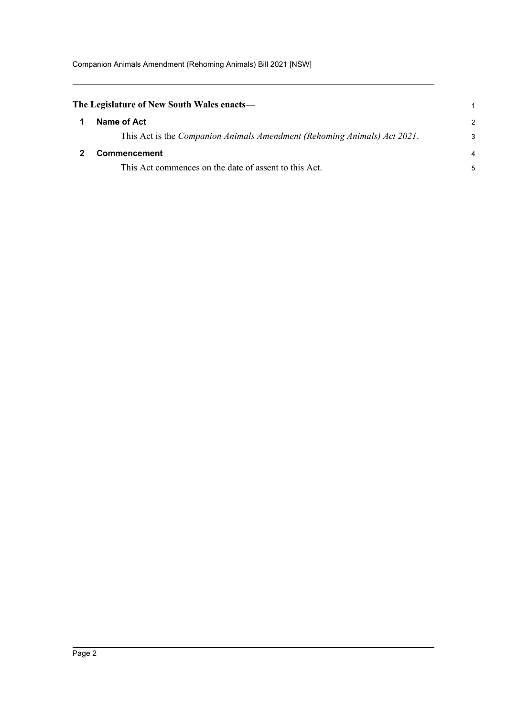<span id="page-3-1"></span><span id="page-3-0"></span>

| The Legislature of New South Wales enacts—                               |               |
|--------------------------------------------------------------------------|---------------|
| Name of Act                                                              | $\mathcal{P}$ |
| This Act is the Companion Animals Amendment (Rehoming Animals) Act 2021. | 3             |
| <b>Commencement</b>                                                      | 4             |
| This Act commences on the date of assent to this Act.                    | 5             |
|                                                                          |               |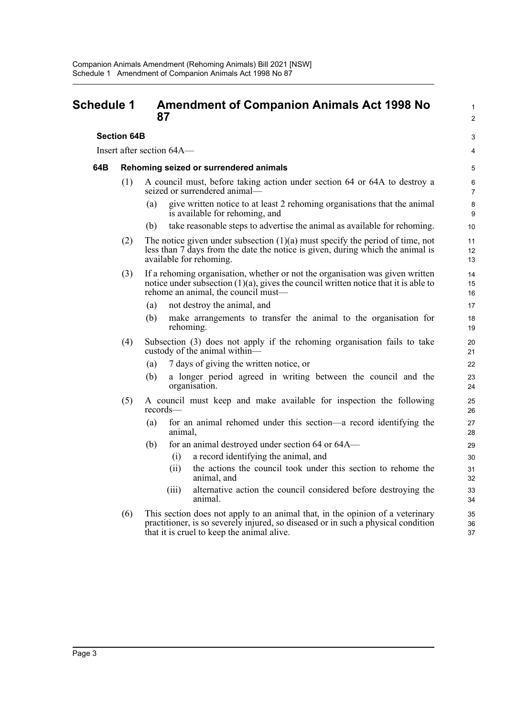#### <span id="page-4-0"></span>**Schedule 1 Amendment of Companion Animals Act 1998 No 87**

#### **Section 64B**

Insert after section 64A—

#### **64B Rehoming seized or surrendered animals**

- (1) A council must, before taking action under section 64 or 64A to destroy a seized or surrendered animal—
	- (a) give written notice to at least 2 rehoming organisations that the animal is available for rehoming, and

1  $\mathcal{L}$ 

3 4

- (b) take reasonable steps to advertise the animal as available for rehoming.
- (2) The notice given under subsection  $(1)(a)$  must specify the period of time, not less than 7 days from the date the notice is given, during which the animal is available for rehoming.
- (3) If a rehoming organisation, whether or not the organisation was given written notice under subsection  $(1)(a)$ , gives the council written notice that it is able to rehome an animal, the council must—
	- (a) not destroy the animal, and
	- (b) make arrangements to transfer the animal to the organisation for rehoming.
- (4) Subsection (3) does not apply if the rehoming organisation fails to take custody of the animal within—
	- (a) 7 days of giving the written notice, or
	- (b) a longer period agreed in writing between the council and the organisation.
- (5) A council must keep and make available for inspection the following records—
	- (a) for an animal rehomed under this section—a record identifying the animal,
	- (b) for an animal destroyed under section 64 or 64A—
		- (i) a record identifying the animal, and
		- (ii) the actions the council took under this section to rehome the animal, and
		- (iii) alternative action the council considered before destroying the animal.
- (6) This section does not apply to an animal that, in the opinion of a veterinary practitioner, is so severely injured, so diseased or in such a physical condition that it is cruel to keep the animal alive.